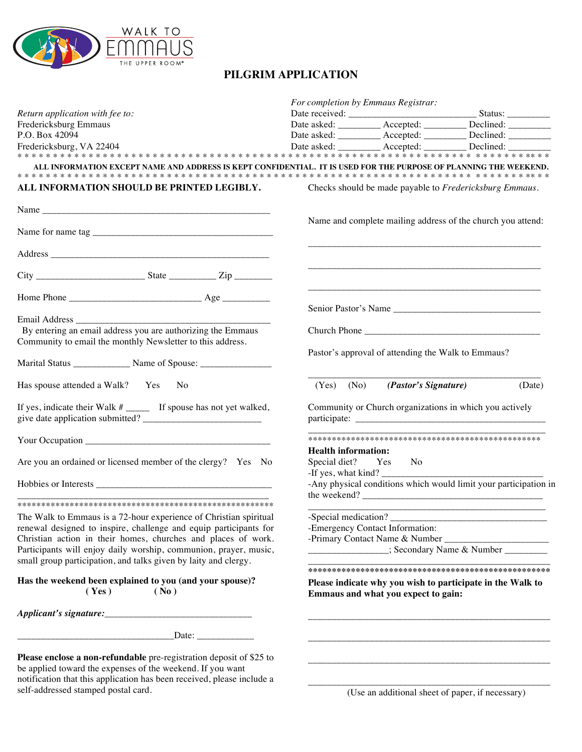

self-addressed stamped postal card.

## **PILGRIM APPLICATION**

|                                                                                                                                                                                                             |                                                                                                   | For completion by Emmaus Registrar:                              |                                                                  |  |
|-------------------------------------------------------------------------------------------------------------------------------------------------------------------------------------------------------------|---------------------------------------------------------------------------------------------------|------------------------------------------------------------------|------------------------------------------------------------------|--|
| Return application with fee to:                                                                                                                                                                             |                                                                                                   |                                                                  |                                                                  |  |
| Fredericksburg Emmaus                                                                                                                                                                                       |                                                                                                   |                                                                  | Date asked: ___________ Accepted: __________ Declined: _________ |  |
| P.O. Box 42094                                                                                                                                                                                              |                                                                                                   |                                                                  | Date asked: ___________ Accepted: __________ Declined: _________ |  |
| Fredericksburg, VA 22404                                                                                                                                                                                    |                                                                                                   |                                                                  | Date asked: ___________ Accepted: __________ Declined: _________ |  |
| ALL INFORMATION EXCEPT NAME AND ADDRESS IS KEPT CONFIDENTIAL. IT IS USED FOR THE PURPOSE OF PLANNING THE WEEKEND.<br>ALL INFORMATION SHOULD BE PRINTED LEGIBLY.                                             |                                                                                                   |                                                                  | Checks should be made payable to Fredericksburg Emmaus.          |  |
|                                                                                                                                                                                                             |                                                                                                   | Name and complete mailing address of the church you attend:      |                                                                  |  |
|                                                                                                                                                                                                             |                                                                                                   |                                                                  |                                                                  |  |
|                                                                                                                                                                                                             |                                                                                                   |                                                                  |                                                                  |  |
|                                                                                                                                                                                                             |                                                                                                   |                                                                  | Senior Pastor's Name                                             |  |
|                                                                                                                                                                                                             |                                                                                                   |                                                                  |                                                                  |  |
| By entering an email address you are authorizing the Emmaus                                                                                                                                                 |                                                                                                   |                                                                  |                                                                  |  |
| Community to email the monthly Newsletter to this address.                                                                                                                                                  |                                                                                                   |                                                                  |                                                                  |  |
| Marital Status ______________ Name of Spouse: __________________________________                                                                                                                            |                                                                                                   | Pastor's approval of attending the Walk to Emmaus?               |                                                                  |  |
| Has spouse attended a Walk? Yes No                                                                                                                                                                          | $(Yes)$ $(No)$                                                                                    | (Pastor's Signature)                                             | (Date)                                                           |  |
|                                                                                                                                                                                                             | Community or Church organizations in which you actively                                           |                                                                  |                                                                  |  |
|                                                                                                                                                                                                             |                                                                                                   |                                                                  |                                                                  |  |
| Are you an ordained or licensed member of the clergy? Yes No                                                                                                                                                | <b>Health information:</b><br>Special diet? Yes<br>No<br>-If yes, what kind?                      |                                                                  |                                                                  |  |
|                                                                                                                                                                                                             |                                                                                                   | -Any physical conditions which would limit your participation in |                                                                  |  |
|                                                                                                                                                                                                             |                                                                                                   |                                                                  |                                                                  |  |
| The Walk to Emmaus is a 72-hour experience of Christian spiritual                                                                                                                                           | -Special medication?                                                                              |                                                                  |                                                                  |  |
| renewal designed to inspire, challenge and equip participants for                                                                                                                                           |                                                                                                   | -Emergency Contact Information:                                  |                                                                  |  |
| Christian action in their homes, churches and places of work.                                                                                                                                               |                                                                                                   |                                                                  |                                                                  |  |
| Participants will enjoy daily worship, communion, prayer, music,<br>small group participation, and talks given by laity and clergy.                                                                         |                                                                                                   |                                                                  | ____________________; Secondary Name & Number ___________        |  |
|                                                                                                                                                                                                             |                                                                                                   |                                                                  |                                                                  |  |
| Has the weekend been explained to you (and your spouse)?<br>(Yes)<br>(No)                                                                                                                                   | Please indicate why you wish to participate in the Walk to<br>Emmaus and what you expect to gain: |                                                                  |                                                                  |  |
|                                                                                                                                                                                                             |                                                                                                   |                                                                  |                                                                  |  |
| Date: $\frac{1}{\sqrt{1-\frac{1}{2}}\cdot\frac{1}{\sqrt{1-\frac{1}{2}}}}$                                                                                                                                   |                                                                                                   |                                                                  |                                                                  |  |
| Please enclose a non-refundable pre-registration deposit of \$25 to<br>be applied toward the expenses of the weekend. If you want<br>notification that this application has been received, please include a |                                                                                                   |                                                                  |                                                                  |  |

\_\_\_\_\_\_\_\_\_\_\_\_\_\_\_\_\_\_\_\_\_\_\_\_\_\_\_\_\_\_\_\_\_\_\_\_\_\_\_\_\_\_\_\_\_\_\_\_\_\_\_ (Use an additional sheet of paper, if necessary)